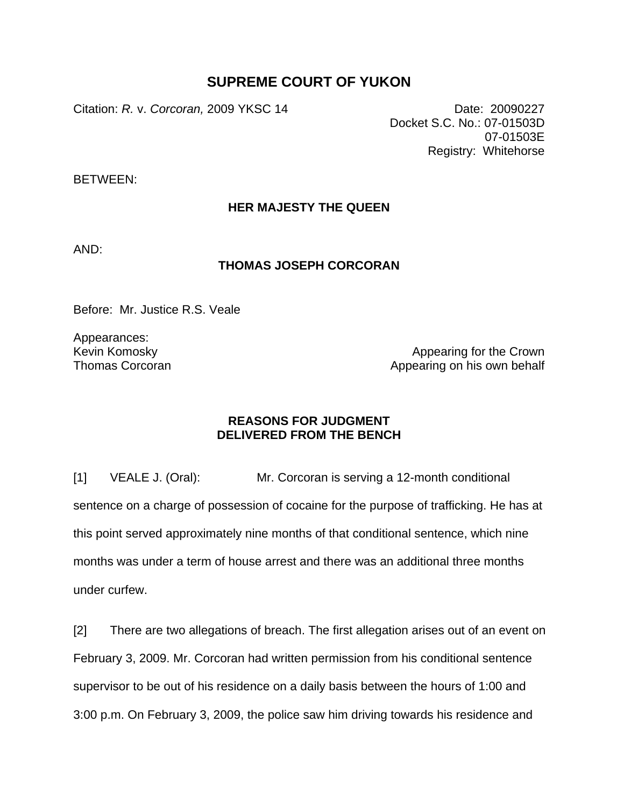## **SUPREME COURT OF YUKON**

Citation: *R.* v. *Corcoran,* 2009 YKSC 14 Date: 20090227

Docket S.C. No.: 07-01503D 07-01503E Registry: Whitehorse

BETWEEN:

## **HER MAJESTY THE QUEEN**

AND:

## **THOMAS JOSEPH CORCORAN**

Before: Mr. Justice R.S. Veale

Appearances: Kevin Komosky Thomas Corcoran

Appearing for the Crown Appearing on his own behalf

## **REASONS FOR JUDGMENT DELIVERED FROM THE BENCH**

[1] VEALE J. (Oral): Mr. Corcoran is serving a 12-month conditional sentence on a charge of possession of cocaine for the purpose of trafficking. He has at this point served approximately nine months of that conditional sentence, which nine months was under a term of house arrest and there was an additional three months under curfew.

[2] There are two allegations of breach. The first allegation arises out of an event on February 3, 2009. Mr. Corcoran had written permission from his conditional sentence supervisor to be out of his residence on a daily basis between the hours of 1:00 and 3:00 p.m. On February 3, 2009, the police saw him driving towards his residence and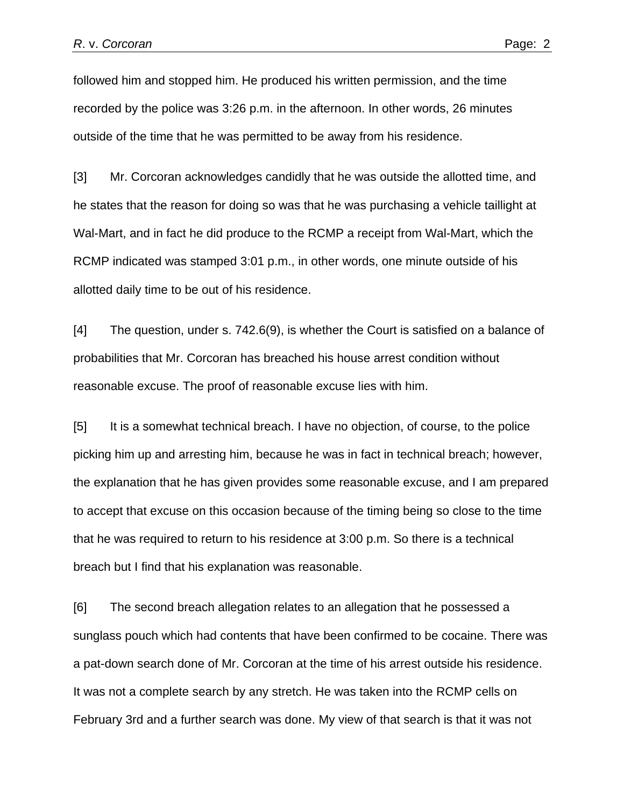followed him and stopped him. He produced his written permission, and the time recorded by the police was 3:26 p.m. in the afternoon. In other words, 26 minutes outside of the time that he was permitted to be away from his residence.

[3] Mr. Corcoran acknowledges candidly that he was outside the allotted time, and he states that the reason for doing so was that he was purchasing a vehicle taillight at Wal-Mart, and in fact he did produce to the RCMP a receipt from Wal-Mart, which the RCMP indicated was stamped 3:01 p.m., in other words, one minute outside of his allotted daily time to be out of his residence.

[4] The question, under s. 742.6(9), is whether the Court is satisfied on a balance of probabilities that Mr. Corcoran has breached his house arrest condition without reasonable excuse. The proof of reasonable excuse lies with him.

[5] It is a somewhat technical breach. I have no objection, of course, to the police picking him up and arresting him, because he was in fact in technical breach; however, the explanation that he has given provides some reasonable excuse, and I am prepared to accept that excuse on this occasion because of the timing being so close to the time that he was required to return to his residence at 3:00 p.m. So there is a technical breach but I find that his explanation was reasonable.

[6] The second breach allegation relates to an allegation that he possessed a sunglass pouch which had contents that have been confirmed to be cocaine. There was a pat-down search done of Mr. Corcoran at the time of his arrest outside his residence. It was not a complete search by any stretch. He was taken into the RCMP cells on February 3rd and a further search was done. My view of that search is that it was not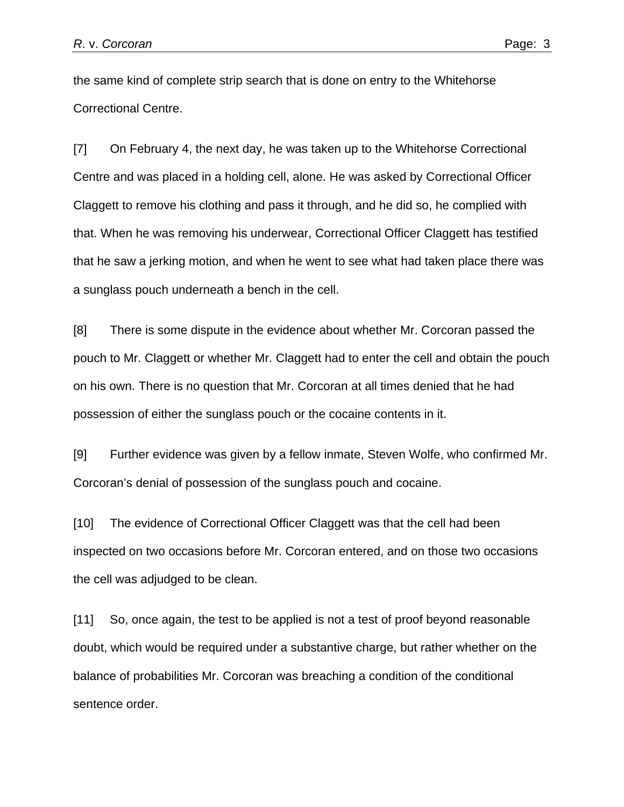the same kind of complete strip search that is done on entry to the Whitehorse Correctional Centre.

[7] On February 4, the next day, he was taken up to the Whitehorse Correctional Centre and was placed in a holding cell, alone. He was asked by Correctional Officer Claggett to remove his clothing and pass it through, and he did so, he complied with that. When he was removing his underwear, Correctional Officer Claggett has testified that he saw a jerking motion, and when he went to see what had taken place there was a sunglass pouch underneath a bench in the cell.

[8] There is some dispute in the evidence about whether Mr. Corcoran passed the pouch to Mr. Claggett or whether Mr. Claggett had to enter the cell and obtain the pouch on his own. There is no question that Mr. Corcoran at all times denied that he had possession of either the sunglass pouch or the cocaine contents in it.

[9] Further evidence was given by a fellow inmate, Steven Wolfe, who confirmed Mr. Corcoran's denial of possession of the sunglass pouch and cocaine.

[10] The evidence of Correctional Officer Claggett was that the cell had been inspected on two occasions before Mr. Corcoran entered, and on those two occasions the cell was adjudged to be clean.

[11] So, once again, the test to be applied is not a test of proof beyond reasonable doubt, which would be required under a substantive charge, but rather whether on the balance of probabilities Mr. Corcoran was breaching a condition of the conditional sentence order.